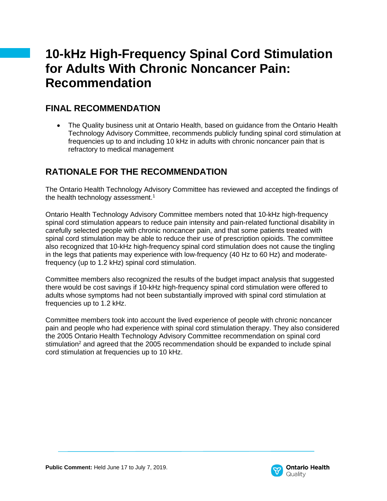# **10-kHz High-Frequency Spinal Cord Stimulation for Adults With Chronic Noncancer Pain: Recommendation**

## **FINAL RECOMMENDATION**

• The Quality business unit at Ontario Health, based on guidance from the Ontario Health Technology Advisory Committee, recommends publicly funding spinal cord stimulation at frequencies up to and including 10 kHz in adults with chronic noncancer pain that is refractory to medical management

## **RATIONALE FOR THE RECOMMENDATION**

The Ontario Health Technology Advisory Committee has reviewed and accepted the findings of the health technology assessment.<sup>1</sup>

Ontario Health Technology Advisory Committee members noted that 10-kHz high-frequency spinal cord stimulation appears to reduce pain intensity and pain-related functional disability in carefully selected people with chronic noncancer pain, and that some patients treated with spinal cord stimulation may be able to reduce their use of prescription opioids. The committee also recognized that 10-kHz high-frequency spinal cord stimulation does not cause the tingling in the legs that patients may experience with low-frequency (40 Hz to 60 Hz) and moderatefrequency (up to 1.2 kHz) spinal cord stimulation.

Committee members also recognized the results of the budget impact analysis that suggested there would be cost savings if 10-kHz high-frequency spinal cord stimulation were offered to adults whose symptoms had not been substantially improved with spinal cord stimulation at frequencies up to 1.2 kHz.

Committee members took into account the lived experience of people with chronic noncancer pain and people who had experience with spinal cord stimulation therapy. They also considered the 2005 Ontario Health Technology Advisory Committee recommendation on spinal cord stimulation<sup>2</sup> and agreed that the 2005 recommendation should be expanded to include spinal cord stimulation at frequencies up to 10 kHz.

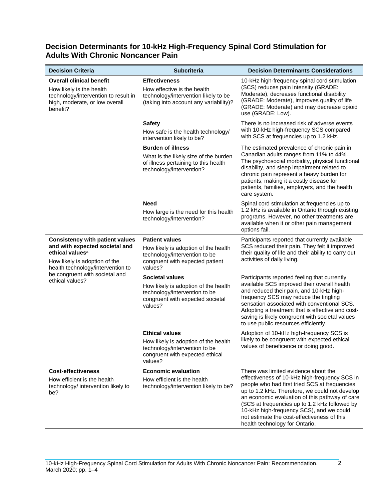### **Decision Determinants for 10-kHz High-Frequency Spinal Cord Stimulation for Adults With Chronic Noncancer Pain**

| <b>Decision Criteria</b>                                                                                                                                                                                                           | <b>Subcriteria</b>                                                                                                                             | <b>Decision Determinants Considerations</b>                                                                                                                                                                                                                                                                                                                                                                              |
|------------------------------------------------------------------------------------------------------------------------------------------------------------------------------------------------------------------------------------|------------------------------------------------------------------------------------------------------------------------------------------------|--------------------------------------------------------------------------------------------------------------------------------------------------------------------------------------------------------------------------------------------------------------------------------------------------------------------------------------------------------------------------------------------------------------------------|
| <b>Overall clinical benefit</b><br>How likely is the health<br>technology/intervention to result in<br>high, moderate, or low overall<br>benefit?                                                                                  | <b>Effectiveness</b><br>How effective is the health<br>technology/intervention likely to be<br>(taking into account any variability)?          | 10-kHz high-frequency spinal cord stimulation<br>(SCS) reduces pain intensity (GRADE:<br>Moderate), decreases functional disability<br>(GRADE: Moderate), improves quality of life<br>(GRADE: Moderate) and may decrease opioid<br>use (GRADE: Low).                                                                                                                                                                     |
|                                                                                                                                                                                                                                    | <b>Safety</b><br>How safe is the health technology/<br>intervention likely to be?                                                              | There is no increased risk of adverse events<br>with 10-kHz high-frequency SCS compared<br>with SCS at frequencies up to 1.2 kHz.                                                                                                                                                                                                                                                                                        |
|                                                                                                                                                                                                                                    | <b>Burden of illness</b><br>What is the likely size of the burden<br>of illness pertaining to this health<br>technology/intervention?          | The estimated prevalence of chronic pain in<br>Canadian adults ranges from 11% to 44%.<br>The psychosocial morbidity, physical functional<br>disability, and sleep impairment related to<br>chronic pain represent a heavy burden for<br>patients, making it a costly disease for<br>patients, families, employers, and the health<br>care system.                                                                       |
|                                                                                                                                                                                                                                    | <b>Need</b><br>How large is the need for this health<br>technology/intervention?                                                               | Spinal cord stimulation at frequencies up to<br>1.2 kHz is available in Ontario through existing<br>programs. However, no other treatments are<br>available when it or other pain management<br>options fail.                                                                                                                                                                                                            |
| <b>Consistency with patient values</b><br>and with expected societal and<br>ethical values <sup>a</sup><br>How likely is adoption of the<br>health technology/intervention to<br>be congruent with societal and<br>ethical values? | <b>Patient values</b><br>How likely is adoption of the health<br>technology/intervention to be<br>congruent with expected patient<br>values?   | Participants reported that currently available<br>SCS reduced their pain. They felt it improved<br>their quality of life and their ability to carry out<br>activities of daily living.                                                                                                                                                                                                                                   |
|                                                                                                                                                                                                                                    | <b>Societal values</b><br>How likely is adoption of the health<br>technology/intervention to be<br>congruent with expected societal<br>values? | Participants reported feeling that currently<br>available SCS improved their overall health<br>and reduced their pain, and 10-kHz high-<br>frequency SCS may reduce the tingling<br>sensation associated with conventional SCS.<br>Adopting a treatment that is effective and cost-<br>saving is likely congruent with societal values<br>to use public resources efficiently.                                           |
|                                                                                                                                                                                                                                    | <b>Ethical values</b><br>How likely is adoption of the health<br>technology/intervention to be<br>congruent with expected ethical<br>values?   | Adoption of 10-kHz high-frequency SCS is<br>likely to be congruent with expected ethical<br>values of beneficence or doing good.                                                                                                                                                                                                                                                                                         |
| <b>Cost-effectiveness</b><br>How efficient is the health<br>technology/ intervention likely to<br>be?                                                                                                                              | <b>Economic evaluation</b><br>How efficient is the health<br>technology/intervention likely to be?                                             | There was limited evidence about the<br>effectiveness of 10-kHz high-frequency SCS in<br>people who had first tried SCS at frequencies<br>up to 1.2 kHz. Therefore, we could not develop<br>an economic evaluation of this pathway of care<br>(SCS at frequencies up to 1.2 kHz followed by<br>10-kHz high-frequency SCS), and we could<br>not estimate the cost-effectiveness of this<br>health technology for Ontario. |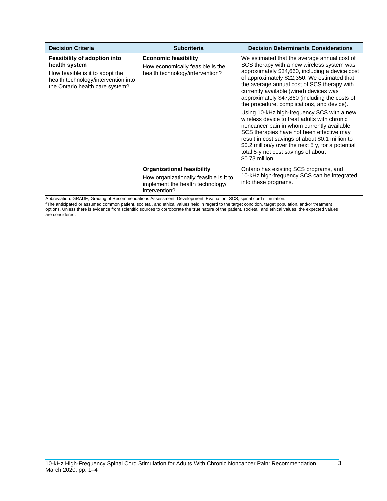| <b>Decision Criteria</b>                                                                                                                                          | <b>Subcriteria</b>                                                                                                               | <b>Decision Determinants Considerations</b>                                                                                                                                                                                                                                                                                                                                             |
|-------------------------------------------------------------------------------------------------------------------------------------------------------------------|----------------------------------------------------------------------------------------------------------------------------------|-----------------------------------------------------------------------------------------------------------------------------------------------------------------------------------------------------------------------------------------------------------------------------------------------------------------------------------------------------------------------------------------|
| <b>Feasibility of adoption into</b><br>health system<br>How feasible is it to adopt the<br>health technology/intervention into<br>the Ontario health care system? | <b>Economic feasibility</b><br>How economically feasible is the<br>health technology/intervention?                               | We estimated that the average annual cost of<br>SCS therapy with a new wireless system was<br>approximately \$34,660, including a device cost<br>of approximately \$22,350. We estimated that<br>the average annual cost of SCS therapy with<br>currently available (wired) devices was<br>approximately \$47,860 (including the costs of<br>the procedure, complications, and device). |
|                                                                                                                                                                   |                                                                                                                                  | Using 10-kHz high-frequency SCS with a new<br>wireless device to treat adults with chronic<br>noncancer pain in whom currently available<br>SCS therapies have not been effective may<br>result in cost savings of about \$0.1 million to<br>\$0.2 million/y over the next 5 y, for a potential<br>total 5-y net cost savings of about<br>\$0.73 million.                               |
|                                                                                                                                                                   | <b>Organizational feasibility</b><br>How organizationally feasible is it to<br>implement the health technology/<br>intervention? | Ontario has existing SCS programs, and<br>10-kHz high-frequency SCS can be integrated<br>into these programs.                                                                                                                                                                                                                                                                           |

Abbreviation: GRADE, Grading of Recommendations Assessment, Development, Evaluation; SCS, spinal cord stimulation. <sup>a</sup>The anticipated or assumed common patient, societal, and ethical values held in regard to the target condition, target population, and/or treatment options. Unless there is evidence from scientific sources to corroborate the true nature of the patient, societal, and ethical values, the expected values are considered.